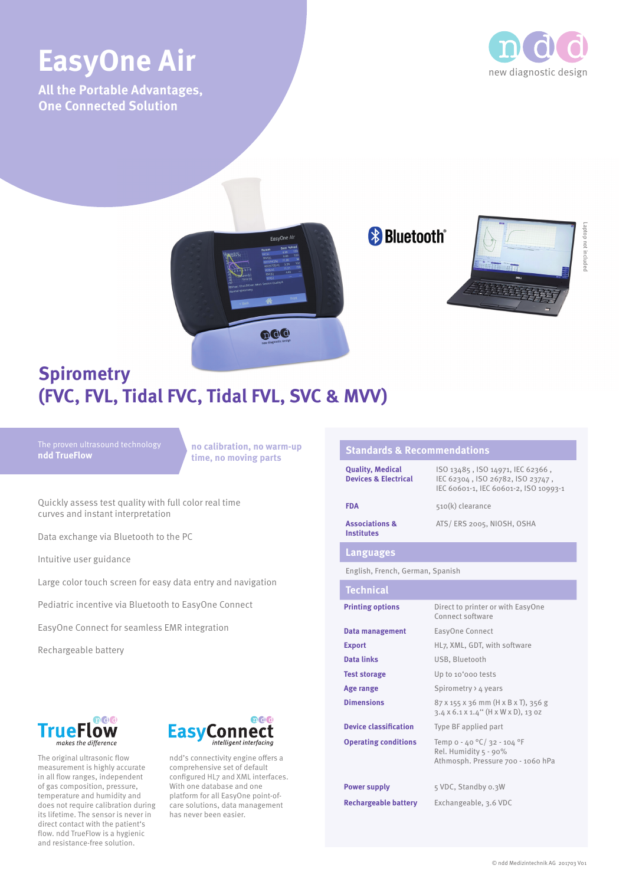# **EasyOne Air** new diagnostic design

**All the Portable Advantages, One Connected Solution**



Laptop not included

not



## **Spirometry (FVC, FVL, Tidal FVC, Tidal FVL, SVC & MVV)**

### **ndd TrueFlow**

**no calibration, no warm-up time, no moving parts**

Quickly assess test quality with full color real time curves and instant interpretation

Data exchange via Bluetooth to the PC

Intuitive user guidance

Large color touch screen for easy data entry and navigation

Pediatric incentive via Bluetooth to EasyOne Connect

EasyOne Connect for seamless EMR integration

Rechargeable battery



The original ultrasonic flow measurement is highly accurate in all flow ranges, independent of gas composition, pressure, temperature and humidity and does not require calibration during its lifetime. The sensor is never in direct contact with the patient's flow. ndd TrueFlow is a hygienic and resistance-free solution.



ndd's connectivity engine offers a comprehensive set of default configured HL7 and XML interfaces. With one database and one platform for all EasyOne point-ofcare solutions, data management has never been easier.

#### **Standards & Recommendations Quality, Medical Devices & Electrical** ISO 13485 , ISO 14971, IEC 62366 , IEC 62304 , ISO 26782, ISO 23747 , IEC 60601-1, IEC 60601-2, ISO 10993-1 **FDA** 510(k) clearance **Associations & Institutes** ATS/ ERS 2005, NIOSH, OSHA **Languages** English, French, German, Spanish **Technical Printing options** Direct to printer or with EasyOne Connect software **Data management** EasyOne Connect **Export** HL<sub>7</sub>, XML, GDT, with software **Data links** USB, Bluetooth **Test storage** Up to 10'000 tests Age range Spirometry > 4 years **Dimensions** 87 x 155 x 36 mm (H x B x T), 356 g 3.4 x 6.1 x 1.4'' (H x W x D), 13 oz **Device classification** Type BF applied part **Operating conditions** Temp o - 40 °C/ 32 - 104 °F Rel. Humidity 5 - 90% Athmosph. Pressure 700 - 1060 hPa **Power supply** 5 VDC, Standby 0.3W **Rechargeable battery** Exchangeable, 3.6 VDC